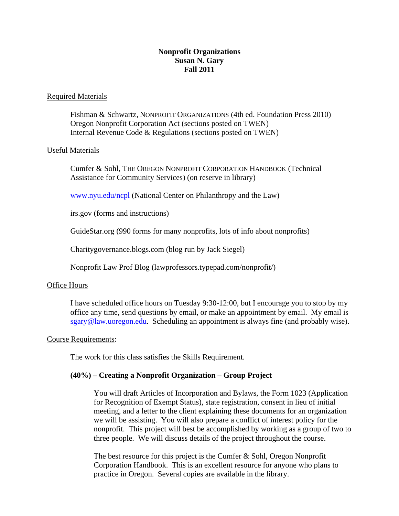# **Nonprofit Organizations Susan N. Gary Fall 2011**

## Required Materials

 Fishman & Schwartz, NONPROFIT ORGANIZATIONS (4th ed. Foundation Press 2010) Oregon Nonprofit Corporation Act (sections posted on TWEN) Internal Revenue Code & Regulations (sections posted on TWEN)

### Useful Materials

 Cumfer & Sohl, THE OREGON NONPROFIT CORPORATION HANDBOOK (Technical Assistance for Community Services) (on reserve in library)

www.nyu.edu/ncpl (National Center on Philanthropy and the Law)

irs.gov (forms and instructions)

GuideStar.org (990 forms for many nonprofits, lots of info about nonprofits)

Charitygovernance.blogs.com (blog run by Jack Siegel)

Nonprofit Law Prof Blog (lawprofessors.typepad.com/nonprofit/)

#### Office Hours

I have scheduled office hours on Tuesday 9:30-12:00, but I encourage you to stop by my office any time, send questions by email, or make an appointment by email. My email is sgary@law.uoregon.edu. Scheduling an appointment is always fine (and probably wise).

#### Course Requirements:

The work for this class satisfies the Skills Requirement.

## **(40%) – Creating a Nonprofit Organization – Group Project**

You will draft Articles of Incorporation and Bylaws, the Form 1023 (Application for Recognition of Exempt Status), state registration, consent in lieu of initial meeting, and a letter to the client explaining these documents for an organization we will be assisting. You will also prepare a conflict of interest policy for the nonprofit. This project will best be accomplished by working as a group of two to three people. We will discuss details of the project throughout the course.

The best resource for this project is the Cumfer & Sohl, Oregon Nonprofit Corporation Handbook. This is an excellent resource for anyone who plans to practice in Oregon. Several copies are available in the library.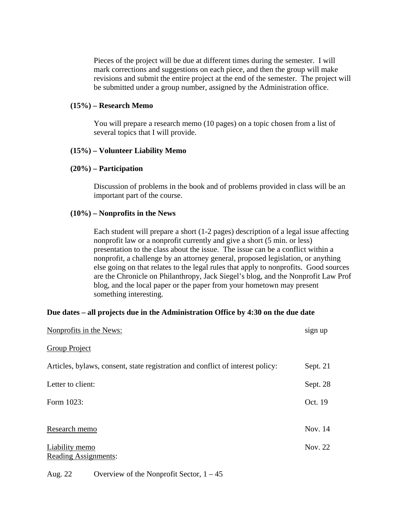Pieces of the project will be due at different times during the semester. I will mark corrections and suggestions on each piece, and then the group will make revisions and submit the entire project at the end of the semester. The project will be submitted under a group number, assigned by the Administration office.

### **(15%) – Research Memo**

You will prepare a research memo (10 pages) on a topic chosen from a list of several topics that I will provide.

### **(15%) – Volunteer Liability Memo**

### **(20%) – Participation**

Discussion of problems in the book and of problems provided in class will be an important part of the course.

### **(10%) – Nonprofits in the News**

Each student will prepare a short (1-2 pages) description of a legal issue affecting nonprofit law or a nonprofit currently and give a short (5 min. or less) presentation to the class about the issue. The issue can be a conflict within a nonprofit, a challenge by an attorney general, proposed legislation, or anything else going on that relates to the legal rules that apply to nonprofits. Good sources are the Chronicle on Philanthropy, Jack Siegel's blog, and the Nonprofit Law Prof blog, and the local paper or the paper from your hometown may present something interesting.

## **Due dates – all projects due in the Administration Office by 4:30 on the due date**

| Nonprofits in the News:                                                        | sign up    |
|--------------------------------------------------------------------------------|------------|
| <b>Group Project</b>                                                           |            |
| Articles, bylaws, consent, state registration and conflict of interest policy: | Sept. $21$ |
| Letter to client:                                                              | Sept. 28   |
| Form 1023:                                                                     | Oct. 19    |
|                                                                                |            |
| Research memo                                                                  | Nov. 14    |
| Liability memo<br>Reading Assignments:                                         | Nov. 22    |
|                                                                                |            |

## Aug. 22 Overview of the Nonprofit Sector, 1 – 45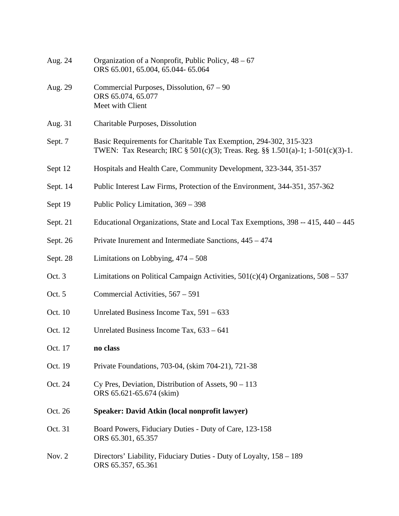| Aug. 24  | Organization of a Nonprofit, Public Policy, $48 - 67$<br>ORS 65.001, 65.004, 65.044- 65.064                                                         |
|----------|-----------------------------------------------------------------------------------------------------------------------------------------------------|
| Aug. 29  | Commercial Purposes, Dissolution, 67 – 90<br>ORS 65.074, 65.077<br>Meet with Client                                                                 |
| Aug. 31  | Charitable Purposes, Dissolution                                                                                                                    |
| Sept. 7  | Basic Requirements for Charitable Tax Exemption, 294-302, 315-323<br>TWEN: Tax Research; IRC § 501(c)(3); Treas. Reg. §§ 1.501(a)-1; 1-501(c)(3)-1. |
| Sept 12  | Hospitals and Health Care, Community Development, 323-344, 351-357                                                                                  |
| Sept. 14 | Public Interest Law Firms, Protection of the Environment, 344-351, 357-362                                                                          |
| Sept 19  | Public Policy Limitation, 369 - 398                                                                                                                 |
| Sept. 21 | Educational Organizations, State and Local Tax Exemptions, 398 -- 415, 440 - 445                                                                    |
| Sept. 26 | Private Inurement and Intermediate Sanctions, 445 - 474                                                                                             |
| Sept. 28 | Limitations on Lobbying, $474 - 508$                                                                                                                |
| Oct. 3   | Limitations on Political Campaign Activities, $501(c)(4)$ Organizations, $508 - 537$                                                                |
| Oct. 5   | Commercial Activities, 567 – 591                                                                                                                    |
| Oct. 10  | Unrelated Business Income Tax, $591 - 633$                                                                                                          |
| Oct. 12  | Unrelated Business Income Tax, 633 - 641                                                                                                            |
| Oct. 17  | no class                                                                                                                                            |
| Oct. 19  | Private Foundations, 703-04, (skim 704-21), 721-38                                                                                                  |
| Oct. 24  | Cy Pres, Deviation, Distribution of Assets, $90 - 113$<br>ORS 65.621-65.674 (skim)                                                                  |
| Oct. 26  | Speaker: David Atkin (local nonprofit lawyer)                                                                                                       |
| Oct. 31  | Board Powers, Fiduciary Duties - Duty of Care, 123-158<br>ORS 65.301, 65.357                                                                        |
| Nov. 2   | Directors' Liability, Fiduciary Duties - Duty of Loyalty, 158 – 189<br>ORS 65.357, 65.361                                                           |